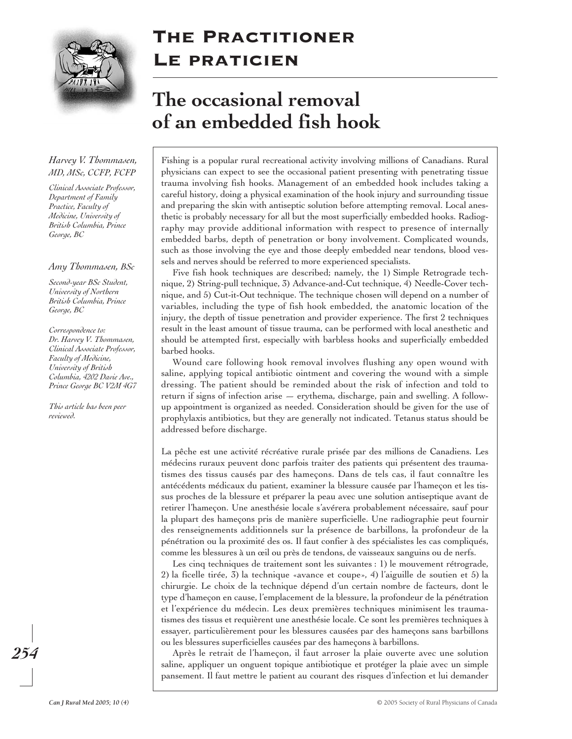

## The Practitioner LE PRATICIEN

# **The occasional removal of an embedded fish hook**

## *Harvey V. Thommasen, MD, MSc, CCFP, FCFP*

*Clinical Associate Professor, Department of Family Practice, Faculty of Medicine, University of British Columbia, Prince George, BC*

#### *Amy Thommasen, BSc*

*Second-year BSc Student, University of Northern British Columbia, Prince George, BC*

*Correspondence to: Dr. Harvey V. Thommasen, Clinical Associate Professor, Faculty of Medicine, University of British Columbia, 4202 Davie Ave., Prince George BC V2M 4G7*

*This article has been peer reviewed.*

Fishing is a popular rural recreational activity involving millions of Canadians. Rural physicians can expect to see the occasional patient presenting with penetrating tissue trauma involving fish hooks. Management of an embedded hook includes taking a careful history, doing a physical examination of the hook injury and surrounding tissue and preparing the skin with antiseptic solution before attempting removal. Local anesthetic is probably necessary for all but the most superficially embedded hooks. Radiography may provide additional information with respect to presence of internally embedded barbs, depth of penetration or bony involvement. Complicated wounds, such as those involving the eye and those deeply embedded near tendons, blood vessels and nerves should be referred to more experienced specialists.

Five fish hook techniques are described; namely, the 1) Simple Retrograde technique, 2) String-pull technique, 3) Advance-and-Cut technique, 4) Needle-Cover technique, and 5) Cut-it-Out technique. The technique chosen will depend on a number of variables, including the type of fish hook embedded, the anatomic location of the injury, the depth of tissue penetration and provider experience. The first 2 techniques result in the least amount of tissue trauma, can be performed with local anesthetic and should be attempted first, especially with barbless hooks and superficially embedded barbed hooks.

Wound care following hook removal involves flushing any open wound with saline, applying topical antibiotic ointment and covering the wound with a simple dressing. The patient should be reminded about the risk of infection and told to return if signs of infection arise — erythema, discharge, pain and swelling. A followup appointment is organized as needed. Consideration should be given for the use of prophylaxis antibiotics, but they are generally not indicated. Tetanus status should be addressed before discharge.

La pêche est une activité récréative rurale prisée par des millions de Canadiens. Les médecins ruraux peuvent donc parfois traiter des patients qui présentent des traumatismes des tissus causés par des hameçons. Dans de tels cas, il faut connaître les antécédents médicaux du patient, examiner la blessure causée par l'hameçon et les tissus proches de la blessure et préparer la peau avec une solution antiseptique avant de retirer l'hameçon. Une anesthésie locale s'avérera probablement nécessaire, sauf pour la plupart des hameçons pris de manière superficielle. Une radiographie peut fournir des renseignements additionnels sur la présence de barbillons, la profondeur de la pénétration ou la proximité des os. Il faut confier à des spécialistes les cas compliqués, comme les blessures à un œil ou près de tendons, de vaisseaux sanguins ou de nerfs.

Les cinq techniques de traitement sont les suivantes : 1) le mouvement rétrograde, 2) la ficelle tirée, 3) la technique «avance et coupe», 4) l'aiguille de soutien et 5) la chirurgie. Le choix de la technique dépend d'un certain nombre de facteurs, dont le type d'hameçon en cause, l'emplacement de la blessure, la profondeur de la pénétration et l'expérience du médecin. Les deux premières techniques minimisent les traumatismes des tissus et requièrent une anesthésie locale. Ce sont les premières techniques à essayer, particulièrement pour les blessures causées par des hameçons sans barbillons ou les blessures superficielles causées par des hameçons à barbillons.

Après le retrait de l'hameçon, il faut arroser la plaie ouverte avec une solution saline, appliquer un onguent topique antibiotique et protéger la plaie avec un simple pansement. Il faut mettre le patient au courant des risques d'infection et lui demander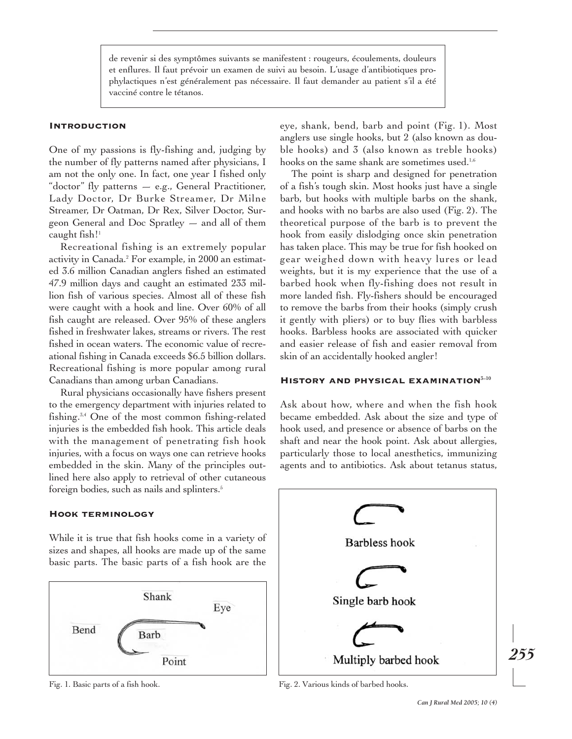de revenir si des symptômes suivants se manifestent : rougeurs, écoulements, douleurs et enflures. Il faut prévoir un examen de suivi au besoin. L'usage d'antibiotiques prophylactiques n'est généralement pas nécessaire. Il faut demander au patient s'il a été vacciné contre le tétanos.

## **INTRODUCTION**

One of my passions is fly-fishing and, judging by the number of fly patterns named after physicians, I am not the only one. In fact, one year I fished only "doctor" fly patterns — e.g., General Practitioner, Lady Doctor, Dr Burke Streamer, Dr Milne Streamer, Dr Oatman, Dr Rex, Silver Doctor, Surgeon General and Doc Spratley — and all of them caught fish! $1$ 

Recreational fishing is an extremely popular activity in Canada.<sup>2</sup> For example, in 2000 an estimated 3.6 million Canadian anglers fished an estimated 47.9 million days and caught an estimated 233 million fish of various species. Almost all of these fish were caught with a hook and line. Over 60% of all fish caught are released. Over 95% of these anglers fished in freshwater lakes, streams or rivers. The rest fished in ocean waters. The economic value of recreational fishing in Canada exceeds \$6.5 billion dollars. Recreational fishing is more popular among rural Canadians than among urban Canadians.

Rural physicians occasionally have fishers present to the emergency department with injuries related to fishing.3,4 One of the most common fishing-related injuries is the embedded fish hook. This article deals with the management of penetrating fish hook injuries, with a focus on ways one can retrieve hooks embedded in the skin. Many of the principles outlined here also apply to retrieval of other cutaneous foreign bodies, such as nails and splinters.<sup>5</sup>

#### Hook terminology

While it is true that fish hooks come in a variety of sizes and shapes, all hooks are made up of the same basic parts. The basic parts of a fish hook are the



eye, shank, bend, barb and point (Fig. 1). Most anglers use single hooks, but 2 (also known as double hooks) and 3 (also known as treble hooks) hooks on the same shank are sometimes used.<sup>1,6</sup>

The point is sharp and designed for penetration of a fish's tough skin. Most hooks just have a single barb, but hooks with multiple barbs on the shank, and hooks with no barbs are also used (Fig. 2). The theoretical purpose of the barb is to prevent the hook from easily dislodging once skin penetration has taken place. This may be true for fish hooked on gear weighed down with heavy lures or lead weights, but it is my experience that the use of a barbed hook when fly-fishing does not result in more landed fish. Fly-fishers should be encouraged to remove the barbs from their hooks (simply crush it gently with pliers) or to buy flies with barbless hooks. Barbless hooks are associated with quicker and easier release of fish and easier removal from skin of an accidentally hooked angler!

## HISTORY AND PHYSICAL EXAMINATION<sup>3-10</sup>

Ask about how, where and when the fish hook became embedded. Ask about the size and type of hook used, and presence or absence of barbs on the shaft and near the hook point. Ask about allergies, particularly those to local anesthetics, immunizing agents and to antibiotics. Ask about tetanus status,



Fig. 1. Basic parts of a fish hook. Fig. 2. Various kinds of barbed hooks.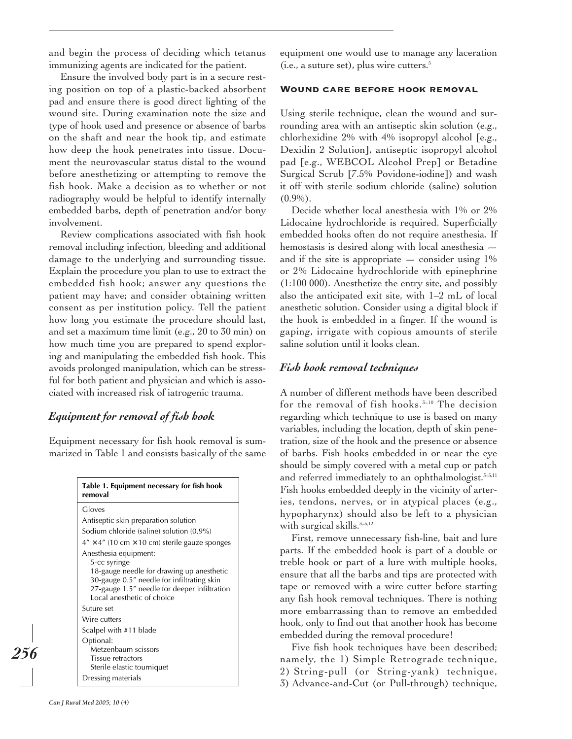and begin the process of deciding which tetanus immunizing agents are indicated for the patient.

Ensure the involved body part is in a secure resting position on top of a plastic-backed absorbent pad and ensure there is good direct lighting of the wound site. During examination note the size and type of hook used and presence or absence of barbs on the shaft and near the hook tip, and estimate how deep the hook penetrates into tissue. Document the neurovascular status distal to the wound before anesthetizing or attempting to remove the fish hook. Make a decision as to whether or not radiography would be helpful to identify internally embedded barbs, depth of penetration and/or bony involvement.

Review complications associated with fish hook removal including infection, bleeding and additional damage to the underlying and surrounding tissue. Explain the procedure you plan to use to extract the embedded fish hook; answer any questions the patient may have; and consider obtaining written consent as per institution policy. Tell the patient how long you estimate the procedure should last, and set a maximum time limit (e.g., 20 to 30 min) on how much time you are prepared to spend exploring and manipulating the embedded fish hook. This avoids prolonged manipulation, which can be stressful for both patient and physician and which is associated with increased risk of iatrogenic trauma.

## *Equipment for removal of fish hook*

Equipment necessary for fish hook removal is summarized in Table 1 and consists basically of the same

| Table 1. Equipment necessary for fish hook<br>removal                                                                            |
|----------------------------------------------------------------------------------------------------------------------------------|
| Gloves                                                                                                                           |
| Antiseptic skin preparation solution                                                                                             |
| Sodium chloride (saline) solution (0.9%)                                                                                         |
| $4'' \times 4''$ (10 cm $\times$ 10 cm) sterile gauze sponges                                                                    |
| Anesthesia equipment:<br>5-cc syringe<br>18-gauge needle for drawing up anesthetic<br>30-gauge 0.5" needle for infiltrating skin |
| 27-gauge 1.5" needle for deeper infiltration<br>Local anesthetic of choice                                                       |
| Suture set                                                                                                                       |
| Wire cutters                                                                                                                     |
| Scalpel with #11 blade                                                                                                           |
| Optional:<br>Metzenbaum scissors<br>Tissue retractors<br>Sterile elastic tourniquet                                              |
| Dressing materials                                                                                                               |

equipment one would use to manage any laceration (i.e., a suture set), plus wire cutters.<sup>5</sup>

#### WOUND CARE BEFORE HOOK REMOVAL

Using sterile technique, clean the wound and surrounding area with an antiseptic skin solution (e.g., chlorhexidine 2% with 4% isopropyl alcohol [e.g., Dexidin 2 Solution], antiseptic isopropyl alcohol pad [e.g., WEBCOL Alcohol Prep] or Betadine Surgical Scrub [7.5% Povidone-iodine]) and wash it off with sterile sodium chloride (saline) solution  $(0.9\%)$ .

Decide whether local anesthesia with 1% or 2% Lidocaine hydrochloride is required. Superficially embedded hooks often do not require anesthesia. If hemostasis is desired along with local anesthesia and if the site is appropriate  $-$  consider using  $1\%$ or 2% Lidocaine hydrochloride with epinephrine (1:100 000). Anesthetize the entry site, and possibly also the anticipated exit site, with 1–2 mL of local anesthetic solution. Consider using a digital block if the hook is embedded in a finger. If the wound is gaping, irrigate with copious amounts of sterile saline solution until it looks clean.

## *Fish hook removal techniques*

A number of different methods have been described for the removal of fish hooks.<sup>3-10</sup> The decision regarding which technique to use is based on many variables, including the location, depth of skin penetration, size of the hook and the presence or absence of barbs. Fish hooks embedded in or near the eye should be simply covered with a metal cup or patch and referred immediately to an ophthalmologist. $3-5,11$ Fish hooks embedded deeply in the vicinity of arteries, tendons, nerves, or in atypical places (e.g., hypopharynx) should also be left to a physician with surgical skills. $3-5,12$ 

First, remove unnecessary fish-line, bait and lure parts. If the embedded hook is part of a double or treble hook or part of a lure with multiple hooks, ensure that all the barbs and tips are protected with tape or removed with a wire cutter before starting any fish hook removal techniques. There is nothing more embarrassing than to remove an embedded hook, only to find out that another hook has become embedded during the removal procedure!

Five fish hook techniques have been described; namely, the 1) Simple Retrograde technique, 2) String-pull (or String-yank) technique, 3) Advance-and-Cut (or Pull-through) technique,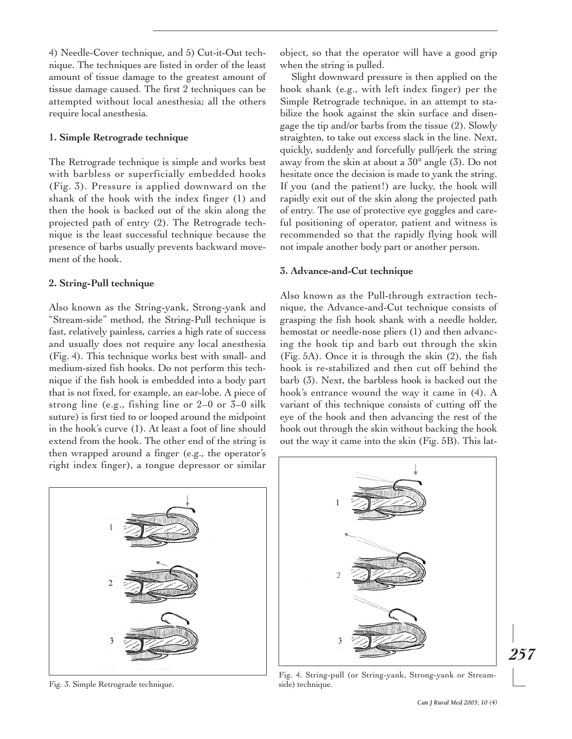4) Needle-Cover technique, and 5) Cut-it-Out technique. The techniques are listed in order of the least amount of tissue damage to the greatest amount of tissue damage caused. The first 2 techniques can be attempted without local anesthesia; all the others require local anesthesia.

### **1. Simple Retrograde technique**

The Retrograde technique is simple and works best with barbless or superficially embedded hooks (Fig. 3). Pressure is applied downward on the shank of the hook with the index finger (1) and then the hook is backed out of the skin along the projected path of entry (2). The Retrograde technique is the least successful technique because the presence of barbs usually prevents backward movement of the hook.

#### **2. String-Pull technique**

Also known as the String-yank, Strong-yank and "Stream-side" method, the String-Pull technique is fast, relatively painless, carries a high rate of success and usually does not require any local anesthesia (Fig. 4). This technique works best with small- and medium-sized fish hooks. Do not perform this technique if the fish hook is embedded into a body part that is not fixed, for example, an ear-lobe. A piece of strong line (e.g., fishing line or 2–0 or 3–0 silk suture) is first tied to or looped around the midpoint in the hook's curve (1). At least a foot of line should extend from the hook. The other end of the string is then wrapped around a finger (e.g., the operator's right index finger), a tongue depressor or similar

object, so that the operator will have a good grip when the string is pulled.

Slight downward pressure is then applied on the hook shank (e.g., with left index finger) per the Simple Retrograde technique, in an attempt to stabilize the hook against the skin surface and disengage the tip and/or barbs from the tissue (2). Slowly straighten, to take out excess slack in the line. Next, quickly, suddenly and forcefully pull/jerk the string away from the skin at about a 30° angle (3). Do not hesitate once the decision is made to yank the string. If you (and the patient!) are lucky, the hook will rapidly exit out of the skin along the projected path of entry. The use of protective eye goggles and careful positioning of operator, patient and witness is recommended so that the rapidly flying hook will not impale another body part or another person.

## **3. Advance-and-Cut technique**

Also known as the Pull-through extraction technique, the Advance-and-Cut technique consists of grasping the fish hook shank with a needle holder, hemostat or needle-nose pliers (1) and then advancing the hook tip and barb out through the skin (Fig. 5A). Once it is through the skin (2), the fish hook is re-stabilized and then cut off behind the barb (3). Next, the barbless hook is backed out the hook's entrance wound the way it came in (4). A variant of this technique consists of cutting off the eye of the hook and then advancing the rest of the hook out through the skin without backing the hook out the way it came into the skin (Fig. 5B). This lat-



Fig. 3. Simple Retrograde technique.



Fig. 4. String-pull (or String-yank, Strong-yank or Streamside) technique.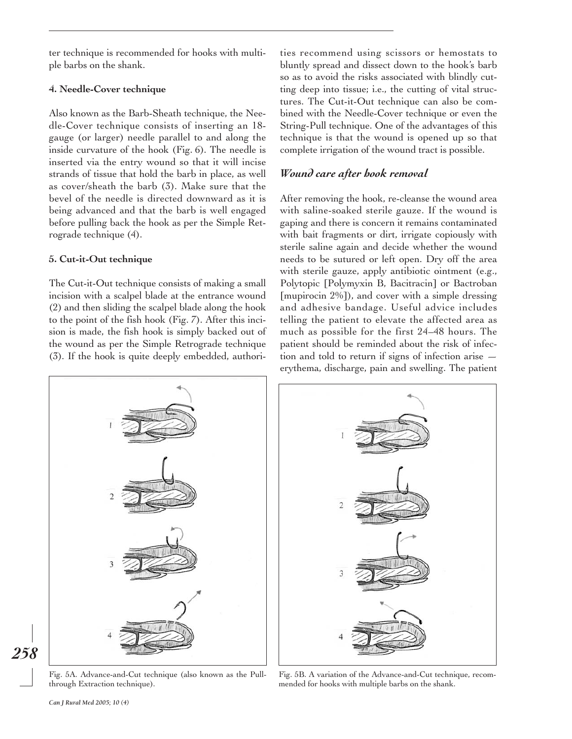ter technique is recommended for hooks with multiple barbs on the shank.

#### **4. Needle-Cover technique**

Also known as the Barb-Sheath technique, the Needle-Cover technique consists of inserting an 18 gauge (or larger) needle parallel to and along the inside curvature of the hook (Fig. 6). The needle is inserted via the entry wound so that it will incise strands of tissue that hold the barb in place, as well as cover/sheath the barb (3). Make sure that the bevel of the needle is directed downward as it is being advanced and that the barb is well engaged before pulling back the hook as per the Simple Retrograde technique (4).

#### **5. Cut-it-Out technique**

The Cut-it-Out technique consists of making a small incision with a scalpel blade at the entrance wound (2) and then sliding the scalpel blade along the hook to the point of the fish hook (Fig. 7). After this incision is made, the fish hook is simply backed out of the wound as per the Simple Retrograde technique (3). If the hook is quite deeply embedded, authorities recommend using scissors or hemostats to bluntly spread and dissect down to the hook's barb so as to avoid the risks associated with blindly cutting deep into tissue; i.e., the cutting of vital structures. The Cut-it-Out technique can also be combined with the Needle-Cover technique or even the String-Pull technique. One of the advantages of this technique is that the wound is opened up so that complete irrigation of the wound tract is possible.

## *Wound care after hook removal*

After removing the hook, re-cleanse the wound area with saline-soaked sterile gauze. If the wound is gaping and there is concern it remains contaminated with bait fragments or dirt, irrigate copiously with sterile saline again and decide whether the wound needs to be sutured or left open. Dry off the area with sterile gauze, apply antibiotic ointment (e.g., Polytopic [Polymyxin B, Bacitracin] or Bactroban [mupirocin 2%]), and cover with a simple dressing and adhesive bandage. Useful advice includes telling the patient to elevate the affected area as much as possible for the first 24–48 hours. The patient should be reminded about the risk of infection and told to return if signs of infection arise erythema, discharge, pain and swelling. The patient



Fig. 5A. Advance-and-Cut technique (also known as the Pullthrough Extraction technique).

Fig. 5B. A variation of the Advance-and-Cut technique, recommended for hooks with multiple barbs on the shank.